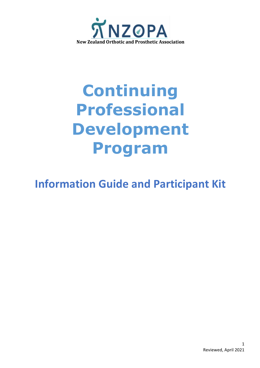

# **Continuing Professional Development Program**

# **Information Guide and Participant Kit**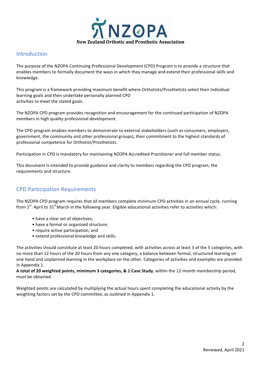

#### Introduction

The purpose of the NZOPA Continuing Professional Development (CPD) Program is to provide a structure that enables members to formally document the ways in which they manage and extend their professional skills and knowledge. 

This program is a framework providing maximum benefit where Orthotists/Prosthetists select their individual learning goals and then undertake personally planned CPD activities to meet the stated goals.

The NZOPA CPD program provides recognition and encouragement for the continued participation of NZOPA members in high quality professional development.

The CPD program enables members to demonstrate to external stakeholders (such as consumers, employers, government, the community and other professional groups), their commitment to the highest standards of professional competence for Orthotist/Prosthetists.

Participation in CPD is mandatory for maintaining NZOPA Accredited Practitioner and full member status.

This document is intended to provide guidance and clarity to members regarding the CPD program, the requirements and structure.

## **CPD Participation Requirements**

The NZOPA CPD program requires that all members complete minimum CPD activities in an annual cycle, running from  $1^{st}$  April to  $31^{st}$  March in the following year. Eligible educational activities refer to activities which:

- have a clear set of objectives;
- have a formal or organised structure;
- require active participation; and
- extend professional knowledge and skills.

The activities should constitute at least 20 hours completed, with activities across at least 3 of the 5 categories, with no more than 12 hours of the 20 hours from any one category, a balance between formal, structured learning on one hand and unplanned learning in the workplace on the other. Categories of activities and examples are provided in Appendix 1.

A total of 20 weighted points, minimum 3 categories, & 1 Case Study, within the 12-month membership period, must be obtained.

Weighted points are calculated by multiplying the actual hours spent completing the educational activity by the weighting factors set by the CPD committee, as outlined in Appendix 1.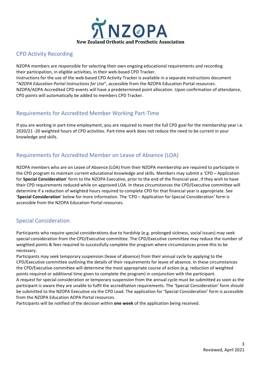

#### CPD Activity Recording

NZOPA members are responsible for selecting their own ongoing educational requirements and recording their participation, in eligible activities, in their web-based CPD Tracker. Instructions for the use of the web-based CPD Activity Tracker is available in a separate instructions document "NZOPA Education Portal Instructions for Use", accessible from the NZOPA Education Portal resources. NZOPA/AOPA Accredited CPD events will have a predetermined point allocation. Upon confirmation of attendance, CPD points will automatically be added to members CPD Tracker.

#### Requirements for Accredited Member Working Part-Time

If you are working in part-time employment, you are required to meet the full CPD goal for the membership year i.e. 2020/21 -20 weighted hours of CPD activities. Part-time work does not reduce the need to be current in your knowledge and skills.

#### Requirements for Accredited Member on Leave of Absence (LOA)

NZOPA members who are on Leave of Absence (LOA) from their NZOPA membership are required to participate in the CPD program to maintain current educational knowledge and skills. Members may submit a 'CPD – Application for **Special Consideration**' form to the NZOPA Executive, prior to the end of the financial year, if they wish to have their CPD requirements reduced while on approved LOA. In these circumstances the CPD/Executive committee will determine if a reduction of weighted hours required to complete CPD for that financial year is appropriate. See 'Special Consideration' below for more information. The 'CPD – Application for Special Consideration' form is accessible from the NZOPA Education Portal resources.

#### Special Consideration

Participants who require special considerations due to hardship (e.g. prolonged sickness, social issues) may seek special consideration from the CPD/Executive committee. The CPD/Executive committee may reduce the number of weighted points & fees required to successfully complete the program where circumstances prove this to be necessary.

Participants may seek temporary suspension (leave of absence) from their annual cycle by applying to the CPD/Executive committee outlining the details of their requirements for leave of absence. In these circumstances the CPD/Executive committee will determine the most appropriate course of action (e.g. reduction of weighted points required or additional time given to complete the program) in conjunction with the participant.

A request for special consideration or temporary suspension from the annual cycle must be submitted as soon as the participant is aware they are unable to fulfil the accreditation requirements. The 'Special Consideration' form should be submitted to the NZOPA Executive via the CPD Lead. The application for 'Special Consideration' form is accessible from the NZOPA Education AOPA Portal resources.

Participants will be notified of the decision within **one week** of the application being received.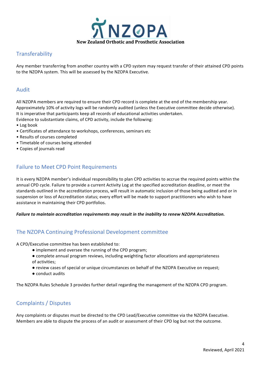

#### **Transferability**

Any member transferring from another country with a CPD system may request transfer of their attained CPD points to the NZOPA system. This will be assessed by the NZOPA Executive.

#### Audit

All NZOPA members are required to ensure their CPD record is complete at the end of the membership year. Approximately 10% of activity logs will be randomly audited (unless the Executive committee decide otherwise). It is imperative that participants keep all records of educational activities undertaken. Evidence to substantiate claims, of CPD activity, include the following:

- Log book
- Certificates of attendance to workshops, conferences, seminars etc
- Results of courses completed
- Timetable of courses being attended
- Copies of journals read

#### **Failure to Meet CPD Point Requirements**

It is every NZOPA member's individual responsibility to plan CPD activities to accrue the required points within the annual CPD cycle. Failure to provide a current Activity Log at the specified accreditation deadline, or meet the standards outlined in the accreditation process, will result in automatic inclusion of those being audited and or in suspension or loss of Accreditation status; every effort will be made to support practitioners who wish to have assistance in maintaining their CPD portfolios.

#### Failure to maintain accreditation requirements may result in the inability to renew NZOPA Accreditation.

#### The NZOPA Continuing Professional Development committee

A CPD/Executive committee has been established to:

- implement and oversee the running of the CPD program;
- complete annual program reviews, including weighting factor allocations and appropriateness of activities;
- review cases of special or unique circumstances on behalf of the NZOPA Executive on request;
- conduct audits

The NZOPA Rules Schedule 3 provides further detail regarding the management of the NZOPA CPD program.

#### Complaints / Disputes

Any complaints or disputes must be directed to the CPD Lead/Executive committee via the NZOPA Executive. Members are able to dispute the process of an audit or assessment of their CPD log but not the outcome.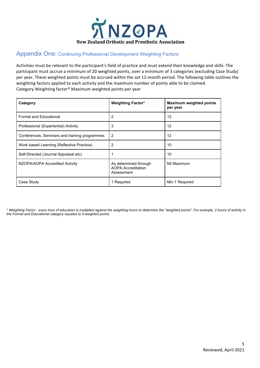

#### Appendix One: Continuing Professional Development Weighting Factors

Activities must be relevant to the participant's field of practice and must extend their knowledge and skills. The participant must accrue a minimum of 20 weighted points, over a minimum of 3 categories (excluding Case Study) per year. These weighted points must be accrued within the set 12-month period. The following table outlines the weighting factors applied to each activity and the maximum number of points able to be claimed. Category Weighting factor\* Maximum weighted points per year

| Category                                      | <b>Weighting Factor*</b>                                         | <b>Maximum weighted points</b><br>per year |
|-----------------------------------------------|------------------------------------------------------------------|--------------------------------------------|
| <b>Formal and Educational</b>                 | 2                                                                | 12                                         |
| Professional (Experiential) Activity          | 3                                                                | 12                                         |
| Conferences, Seminars and training programmes | 2                                                                | 12                                         |
| Work based Learning (Reflective Practice)     | 2                                                                | 10                                         |
| Self-Directed (Journal Appraisal etc)         |                                                                  | 10                                         |
| NZOPA/AOPA Accredited Activity                | As determined through<br><b>AOPA Accreditation</b><br>Assessment | Nil Maximum                                |
| Case Study                                    | 1 Required                                                       | Min 1 Required                             |

*\* Weighting Factor - every hour of education is multiplied against the weighting hours to determine the "weighted points". For example, 2 hours of activity in the Formal and Educational category equates to 4 weighted points.*